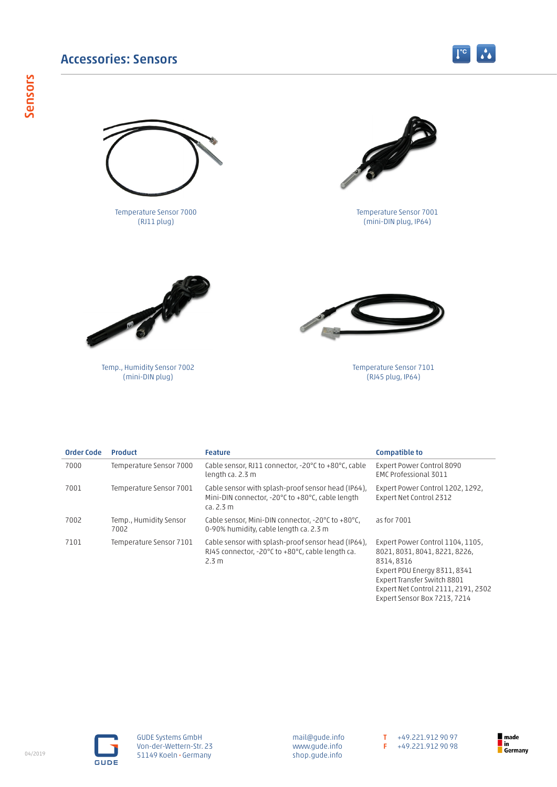## Accessories: Sensors



Temperature Sensor 7000 (RJ11 plug)



 $\boxed{1^{\circ}}$   $\Lambda$ 

Temperature Sensor 7001 (mini-DIN plug, IP64)



Temp., Humidity Sensor 7002 (mini-DIN plug)



Temperature Sensor 7101 (RJ45 plug, IP64)

| <b>Order Code</b> | <b>Product</b>                 | <b>Feature</b>                                                                                                      | <b>Compatible to</b>                                                                                                                           |
|-------------------|--------------------------------|---------------------------------------------------------------------------------------------------------------------|------------------------------------------------------------------------------------------------------------------------------------------------|
| 7000              | Temperature Sensor 7000        | Cable sensor, RJ11 connector, -20°C to +80°C, cable<br>length ca. 2.3 m                                             | Expert Power Control 8090<br>EMC Professional 3011                                                                                             |
| 7001              | Temperature Sensor 7001        | Cable sensor with splash-proof sensor head (IP64),<br>Mini-DIN connector, -20°C to +80°C, cable length<br>ca. 2.3 m | Expert Power Control 1202, 1292,<br>Expert Net Control 2312                                                                                    |
| 7002              | Temp., Humidity Sensor<br>7002 | Cable sensor, Mini-DIN connector, -20°C to +80°C,<br>0-90% humidity, cable length ca. 2.3 m                         | as for 7001                                                                                                                                    |
| 7101              | Temperature Sensor 7101        | Cable sensor with splash-proof sensor head (IP64),<br>RJ45 connector, -20°C to +80°C, cable length ca.<br>2.3 m     | Expert Power Control 1104, 1105,<br>8021, 8031, 8041, 8221, 8226,<br>8314, 8316<br>Expert PDU Energy 8311, 8341<br>Expert Transfer Switch 8801 |

**GUDE** 

GUDE Systems GmbH Von-der-Wettern-Str. 23 51149 Koeln • Germany

mail@gude.info www.gude.info shop.gude.info T +49.221.912 90 97 F +49.221.912 90 98

Expert Net Control 2111, 2191, 2302 Expert Sensor Box 7213, 7214